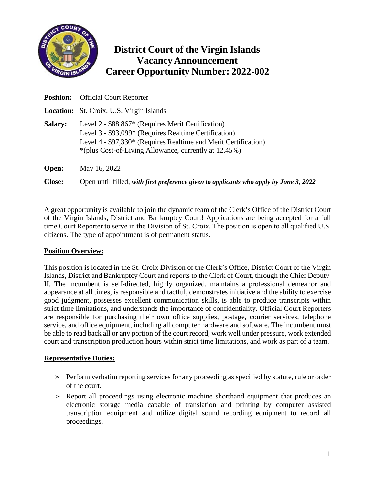

# **District Court of the Virgin Islands Vacancy Announcement Career Opportunity Number: 2022-002**

| <b>Position:</b> | <b>Official Court Reporter</b>                                                                                                                                                                                                          |
|------------------|-----------------------------------------------------------------------------------------------------------------------------------------------------------------------------------------------------------------------------------------|
|                  | <b>Location:</b> St. Croix, U.S. Virgin Islands                                                                                                                                                                                         |
| <b>Salary:</b>   | Level 2 - \$88,867* (Requires Merit Certification)<br>Level 3 - \$93,099* (Requires Realtime Certification)<br>Level 4 - \$97,330* (Requires Realtime and Merit Certification)<br>*(plus Cost-of-Living Allowance, currently at 12.45%) |
| Open:            | May 16, 2022                                                                                                                                                                                                                            |
| <b>Close:</b>    | Open until filled, with first preference given to applicants who apply by June 3, 2022                                                                                                                                                  |

A great opportunity is available to join the dynamic team of the Clerk's Office of the District Court of the Virgin Islands, District and Bankruptcy Court! Applications are being accepted for a full time Court Reporter to serve in the Division of St. Croix. The position is open to all qualified U.S. citizens. The type of appointment is of permanent status.

#### **Position Overview:**

This position is located in the St. Croix Division of the Clerk's Office, District Court of the Virgin Islands, District and Bankruptcy Court and reports to the Clerk of Court, through the Chief Deputy II. The incumbent is self-directed, highly organized, maintains a professional demeanor and appearance at all times, is responsible and tactful, demonstrates initiative and the ability to exercise good judgment, possesses excellent communication skills, is able to produce transcripts within strict time limitations, and understands the importance of confidentiality. Official Court Reporters are responsible for purchasing their own office supplies, postage, courier services, telephone service, and office equipment, including all computer hardware and software. The incumbent must be able to read back all or any portion of the court record, work well under pressure, work extended court and transcription production hours within strict time limitations, and work as part of a team.

#### **Representative Duties:**

- $\ge$  Perform verbatim reporting services for any proceeding as specified by statute, rule or order of the court.
- ➢ Report all proceedings using electronic machine shorthand equipment that produces an electronic storage media capable of translation and printing by computer assisted transcription equipment and utilize digital sound recording equipment to record all proceedings.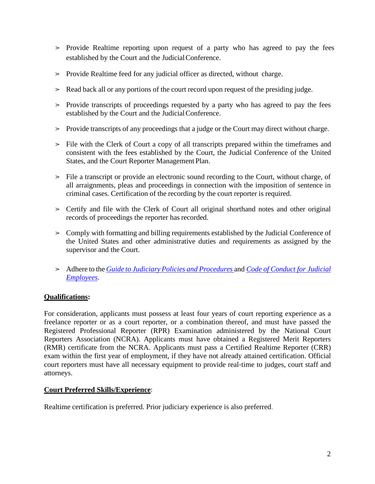- ➢ Provide Realtime reporting upon request of a party who has agreed to pay the fees established by the Court and the JudicialConference.
- ➢ Provide Realtime feed for any judicial officer as directed, without charge.
- ➢ Read back all or any portions of the court record upon request of the presiding judge.
- ➢ Provide transcripts of proceedings requested by a party who has agreed to pay the fees established by the Court and the JudicialConference.
- $\geq$  Provide transcripts of any proceedings that a judge or the Court may direct without charge.
- ➢ File with the Clerk of Court a copy of all transcripts prepared within the timeframes and consistent with the fees established by the Court, the Judicial Conference of the United States, and the Court Reporter Management Plan.
- ➢ File a transcript or provide an electronic sound recording to the Court, without charge, of all arraignments, pleas and proceedings in connection with the imposition of sentence in criminal cases. Certification of the recording by the court reporter is required.
- ➢ Certify and file with the Clerk of Court all original shorthand notes and other original records of proceedings the reporter has recorded.
- ➢ Comply with formatting and billing requirements established by the Judicial Conference of the United States and other administrative duties and requirements as assigned by the supervisor and the Court.
- ➢ Adhere to the *Guide to Judiciary Policies and [Procedures](https://jnet.ao.dcn/policy-guidance/guide-judiciary-policy)* and *Code of [Conduct](http://www.uscourts.gov/rules-policies/judiciary-policies/code-conduct/code-conduct-judicial-employees) for Judicial [Employees](http://www.uscourts.gov/rules-policies/judiciary-policies/code-conduct/code-conduct-judicial-employees)*.

### **Qualifications:**

For consideration, applicants must possess at least four years of court reporting experience as a freelance reporter or as a court reporter, or a combination thereof, and must have passed the Registered Professional Reporter (RPR) Examination administered by the National Court Reporters Association (NCRA). Applicants must have obtained a Registered Merit Reporters (RMR) certificate from the NCRA. Applicants must pass a Certified Realtime Reporter (CRR) exam within the first year of employment, if they have not already attained certification. Official court reporters must have all necessary equipment to provide real-time to judges, court staff and attorneys.

#### **Court Preferred Skills/Experience**:

Realtime certification is preferred. Prior judiciary experience is also preferred.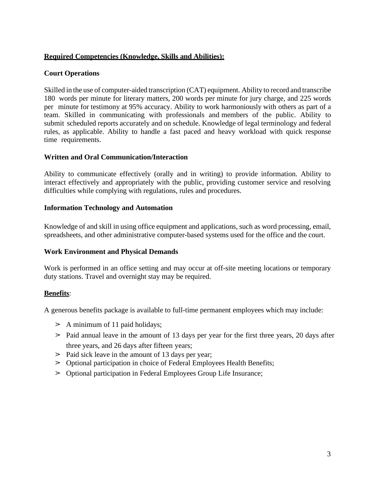#### **Required Competencies (Knowledge, Skills and Abilities):**

#### **Court Operations**

Skilled in the use of computer-aided transcription (CAT) equipment. Ability to record and transcribe 180 words per minute for literary matters, 200 words per minute for jury charge, and 225 words per minute for testimony at 95% accuracy. Ability to work harmoniously with others as part of a team. Skilled in communicating with professionals and members of the public. Ability to submit scheduled reports accurately and on schedule. Knowledge of legal terminology and federal rules, as applicable. Ability to handle a fast paced and heavy workload with quick response time requirements.

#### **Written and Oral Communication/Interaction**

Ability to communicate effectively (orally and in writing) to provide information. Ability to interact effectively and appropriately with the public, providing customer service and resolving difficulties while complying with regulations, rules and procedures.

#### **Information Technology and Automation**

Knowledge of and skill in using office equipment and applications, such as word processing, email, spreadsheets, and other administrative computer-based systems used for the office and the court.

#### **Work Environment and Physical Demands**

Work is performed in an office setting and may occur at off-site meeting locations or temporary duty stations. Travel and overnight stay may be required.

#### **Benefits**:

A generous benefits package is available to full-time permanent employees which may include:

- $\geq$  A minimum of 11 paid holidays;
- $\geq$  Paid annual leave in the amount of 13 days per year for the first three years, 20 days after three years, and 26 days after fifteen years;
- $\geq$  Paid sick leave in the amount of 13 days per year;
- ➢ Optional participation in choice of Federal Employees Health Benefits;
- ➢ Optional participation in Federal Employees Group Life Insurance;